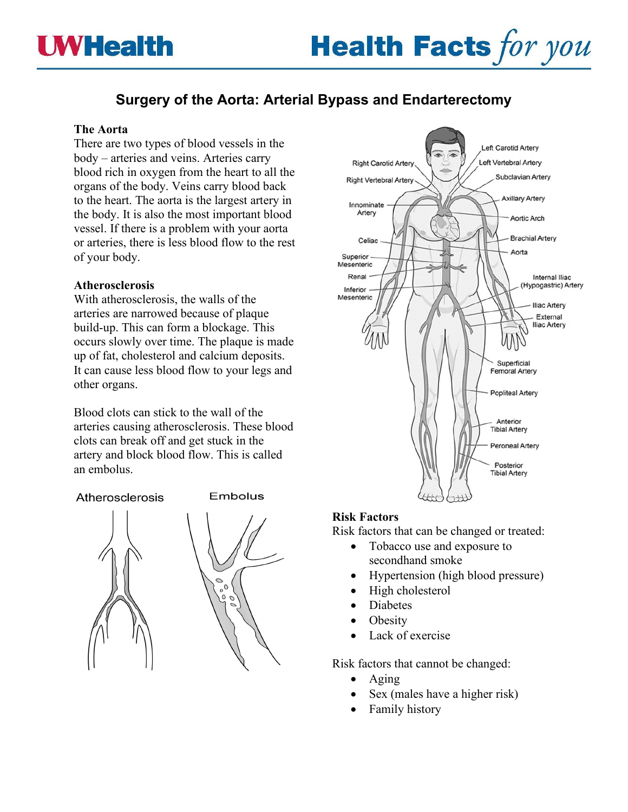# **Surgery of the Aorta: Arterial Bypass and Endarterectomy**

## **The Aorta**

There are two types of blood vessels in the body – arteries and veins. Arteries carry blood rich in oxygen from the heart to all the organs of the body. Veins carry blood back to the heart. The aorta is the largest artery in the body. It is also the most important blood vessel. If there is a problem with your aorta or arteries, there is less blood flow to the rest of your body.

# **Atherosclerosis**

With atherosclerosis, the walls of the arteries are narrowed because of plaque build-up. This can form a blockage. This occurs slowly over time. The plaque is made up of fat, cholesterol and calcium deposits. It can cause less blood flow to your legs and other organs.

Blood clots can stick to the wall of the arteries causing atherosclerosis. These blood clots can break off and get stuck in the artery and block blood flow. This is called an embolus.

## Atherosclerosis



#### Embolus





# **Risk Factors**

Risk factors that can be changed or treated:

- Tobacco use and exposure to secondhand smoke
- Hypertension (high blood pressure)
- High cholesterol
- **Diabetes**
- **Obesity**
- Lack of exercise

Risk factors that cannot be changed:

- Aging
- Sex (males have a higher risk)
- Family history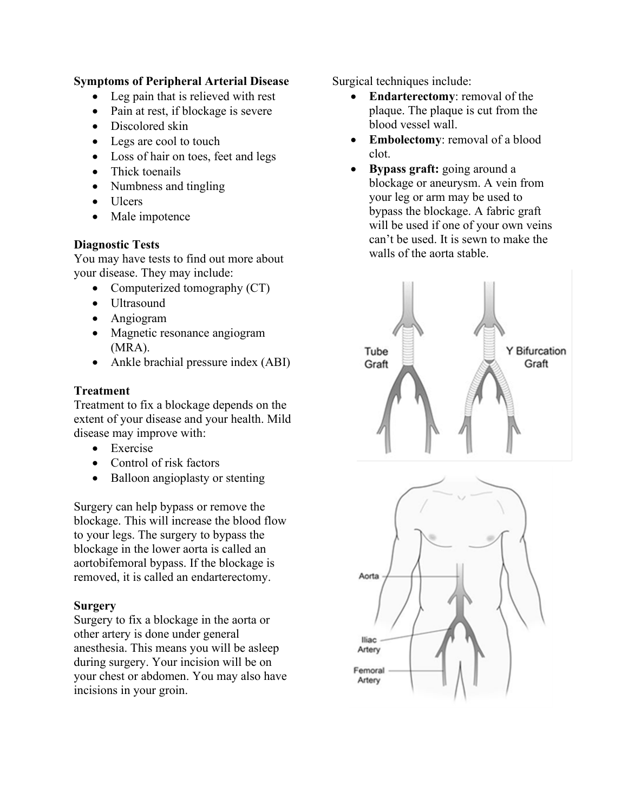# **Symptoms of Peripheral Arterial Disease**

- Leg pain that is relieved with rest
- Pain at rest, if blockage is severe
- Discolored skin
- Legs are cool to touch
- Loss of hair on toes, feet and legs
- Thick toenails
- Numbness and tingling
- Ulcers
- Male impotence

## **Diagnostic Tests**

You may have tests to find out more about your disease. They may include:

- Computerized tomography (CT)
- Ultrasound
- Angiogram
- Magnetic resonance angiogram (MRA).
- Ankle brachial pressure index (ABI)

## **Treatment**

Treatment to fix a blockage depends on the extent of your disease and your health. Mild disease may improve with:

- Exercise
- Control of risk factors
- Balloon angioplasty or stenting

Surgery can help bypass or remove the blockage. This will increase the blood flow to your legs. The surgery to bypass the blockage in the lower aorta is called an aortobifemoral bypass. If the blockage is removed, it is called an endarterectomy.

## **Surgery**

Surgery to fix a blockage in the aorta or other artery is done under general anesthesia. This means you will be asleep during surgery. Your incision will be on your chest or abdomen. You may also have incisions in your groin.

Surgical techniques include:

- **Endarterectomy**: removal of the plaque. The plaque is cut from the blood vessel wall.
- **Embolectomy**: removal of a blood clot.
- **Bypass graft:** going around a blockage or aneurysm. A vein from your leg or arm may be used to bypass the blockage. A fabric graft will be used if one of your own veins can't be used. It is sewn to make the walls of the aorta stable.

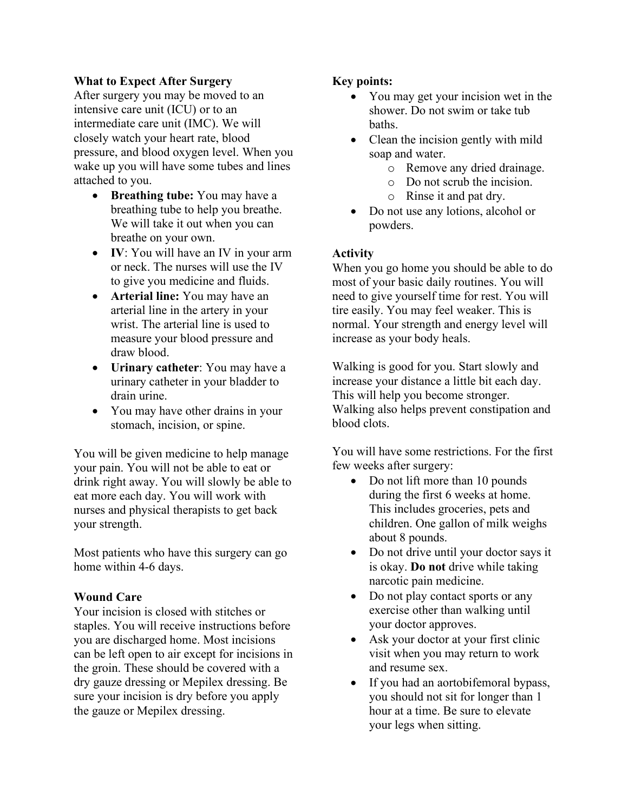## **What to Expect After Surgery**

After surgery you may be moved to an intensive care unit (ICU) or to an intermediate care unit (IMC). We will closely watch your heart rate, blood pressure, and blood oxygen level. When you wake up you will have some tubes and lines attached to you.

- **Breathing tube:** You may have a breathing tube to help you breathe. We will take it out when you can breathe on your own.
- **IV**: You will have an IV in your arm or neck. The nurses will use the IV to give you medicine and fluids.
- **Arterial line:** You may have an arterial line in the artery in your wrist. The arterial line is used to measure your blood pressure and draw blood.
- **Urinary catheter**: You may have a urinary catheter in your bladder to drain urine.
- You may have other drains in your stomach, incision, or spine.

You will be given medicine to help manage your pain. You will not be able to eat or drink right away. You will slowly be able to eat more each day. You will work with nurses and physical therapists to get back your strength.

Most patients who have this surgery can go home within 4-6 days.

# **Wound Care**

Your incision is closed with stitches or staples. You will receive instructions before you are discharged home. Most incisions can be left open to air except for incisions in the groin. These should be covered with a dry gauze dressing or Mepilex dressing. Be sure your incision is dry before you apply the gauze or Mepilex dressing.

## **Key points:**

- You may get your incision wet in the shower. Do not swim or take tub baths.
- Clean the incision gently with mild soap and water.
	- o Remove any dried drainage.
	- o Do not scrub the incision.
	- o Rinse it and pat dry.
- Do not use any lotions, alcohol or powders.

## **Activity**

When you go home you should be able to do most of your basic daily routines. You will need to give yourself time for rest. You will tire easily. You may feel weaker. This is normal. Your strength and energy level will increase as your body heals.

Walking is good for you. Start slowly and increase your distance a little bit each day. This will help you become stronger. Walking also helps prevent constipation and blood clots.

You will have some restrictions. For the first few weeks after surgery:

- Do not lift more than 10 pounds during the first 6 weeks at home. This includes groceries, pets and children. One gallon of milk weighs about 8 pounds.
- Do not drive until your doctor says it is okay. **Do not** drive while taking narcotic pain medicine.
- Do not play contact sports or any exercise other than walking until your doctor approves.
- Ask your doctor at your first clinic visit when you may return to work and resume sex.
- If you had an aortobifemoral bypass, you should not sit for longer than 1 hour at a time. Be sure to elevate your legs when sitting.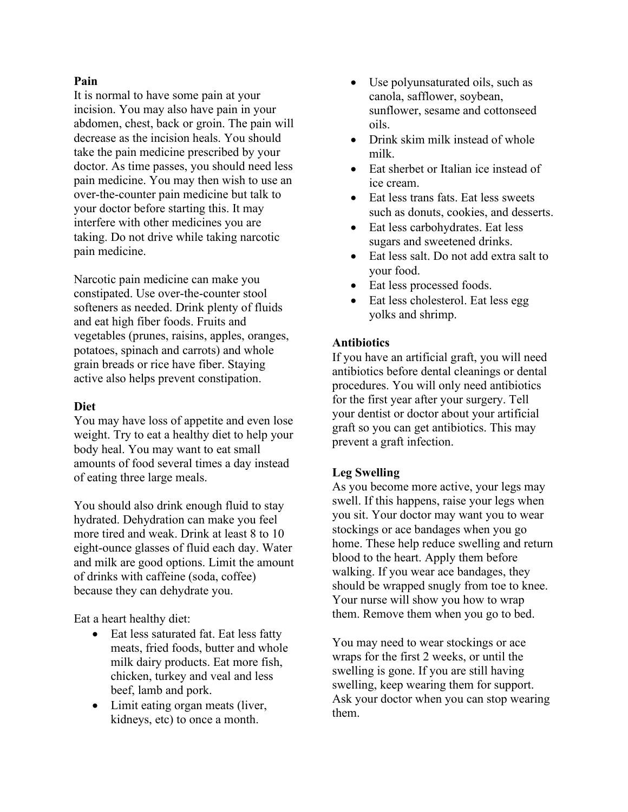## **Pain**

It is normal to have some pain at your incision. You may also have pain in your abdomen, chest, back or groin. The pain will decrease as the incision heals. You should take the pain medicine prescribed by your doctor. As time passes, you should need less pain medicine. You may then wish to use an over-the-counter pain medicine but talk to your doctor before starting this. It may interfere with other medicines you are taking. Do not drive while taking narcotic pain medicine.

Narcotic pain medicine can make you constipated. Use over-the-counter stool softeners as needed. Drink plenty of fluids and eat high fiber foods. Fruits and vegetables (prunes, raisins, apples, oranges, potatoes, spinach and carrots) and whole grain breads or rice have fiber. Staying active also helps prevent constipation.

## **Diet**

You may have loss of appetite and even lose weight. Try to eat a healthy diet to help your body heal. You may want to eat small amounts of food several times a day instead of eating three large meals.

You should also drink enough fluid to stay hydrated. Dehydration can make you feel more tired and weak. Drink at least 8 to 10 eight-ounce glasses of fluid each day. Water and milk are good options. Limit the amount of drinks with caffeine (soda, coffee) because they can dehydrate you.

Eat a heart healthy diet:

- Eat less saturated fat. Eat less fatty meats, fried foods, butter and whole milk dairy products. Eat more fish, chicken, turkey and veal and less beef, lamb and pork.
- Limit eating organ meats (liver, kidneys, etc) to once a month.
- Use polyunsaturated oils, such as canola, safflower, soybean, sunflower, sesame and cottonseed oils.
- Drink skim milk instead of whole milk.
- Eat sherbet or Italian ice instead of ice cream.
- Eat less trans fats. Eat less sweets such as donuts, cookies, and desserts.
- Eat less carbohydrates. Eat less sugars and sweetened drinks.
- Eat less salt. Do not add extra salt to your food.
- Eat less processed foods.
- Eat less cholesterol. Eat less egg yolks and shrimp.

## **Antibiotics**

If you have an artificial graft, you will need antibiotics before dental cleanings or dental procedures. You will only need antibiotics for the first year after your surgery. Tell your dentist or doctor about your artificial graft so you can get antibiotics. This may prevent a graft infection.

## **Leg Swelling**

As you become more active, your legs may swell. If this happens, raise your legs when you sit. Your doctor may want you to wear stockings or ace bandages when you go home. These help reduce swelling and return blood to the heart. Apply them before walking. If you wear ace bandages, they should be wrapped snugly from toe to knee. Your nurse will show you how to wrap them. Remove them when you go to bed.

You may need to wear stockings or ace wraps for the first 2 weeks, or until the swelling is gone. If you are still having swelling, keep wearing them for support. Ask your doctor when you can stop wearing them.